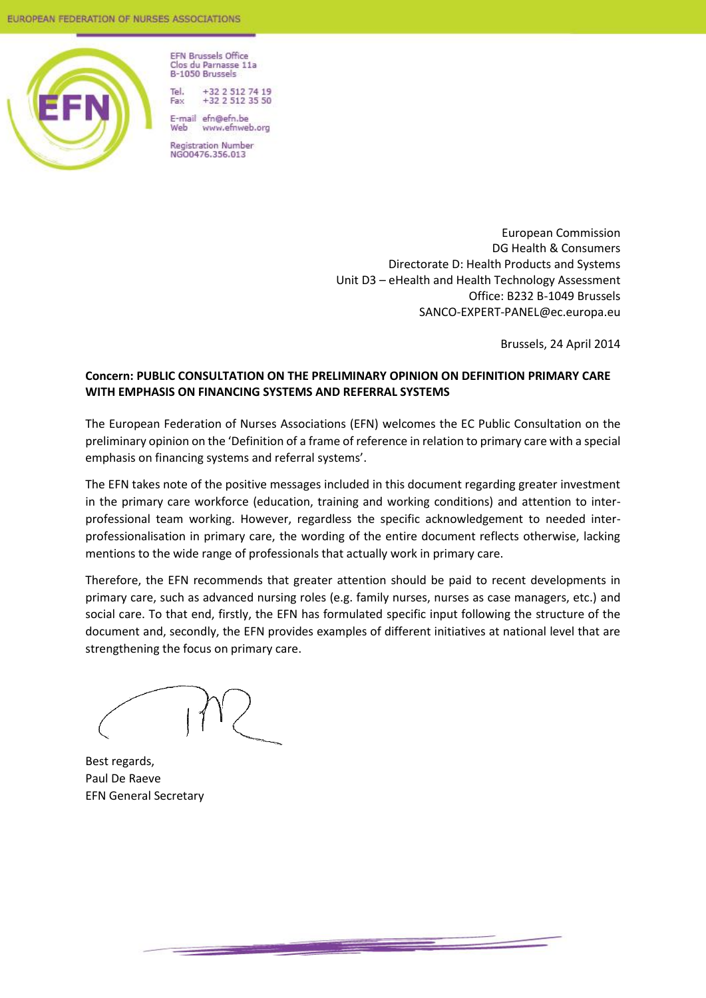

**EFN Brussels Office** Clos du Parnasse 11a B-1050 Brussels

Tel +32 2 512 74 19<br>+32 2 512 35 50 Fax

E-mail efn@efn.be Web www.efnweb.org

**Registration Number** NG00476.356.013

> European Commission DG Health & Consumers Directorate D: Health Products and Systems Unit D3 – eHealth and Health Technology Assessment Office: B232 B-1049 Brussels SANCO-EXPERT-PANEL@ec.europa.eu

> > Brussels, 24 April 2014

### **Concern: PUBLIC CONSULTATION ON THE PRELIMINARY OPINION ON DEFINITION PRIMARY CARE WITH EMPHASIS ON FINANCING SYSTEMS AND REFERRAL SYSTEMS**

The European Federation of Nurses Associations (EFN) welcomes the EC Public Consultation on the preliminary opinion on the 'Definition of a frame of reference in relation to primary care with a special emphasis on financing systems and referral systems'.

The EFN takes note of the positive messages included in this document regarding greater investment in the primary care workforce (education, training and working conditions) and attention to interprofessional team working. However, regardless the specific acknowledgement to needed interprofessionalisation in primary care, the wording of the entire document reflects otherwise, lacking mentions to the wide range of professionals that actually work in primary care.

Therefore, the EFN recommends that greater attention should be paid to recent developments in primary care, such as advanced nursing roles (e.g. family nurses, nurses as case managers, etc.) and social care. To that end, firstly, the EFN has formulated specific input following the structure of the document and, secondly, the EFN provides examples of different initiatives at national level that are strengthening the focus on primary care.

Best regards, Paul De Raeve EFN General Secretary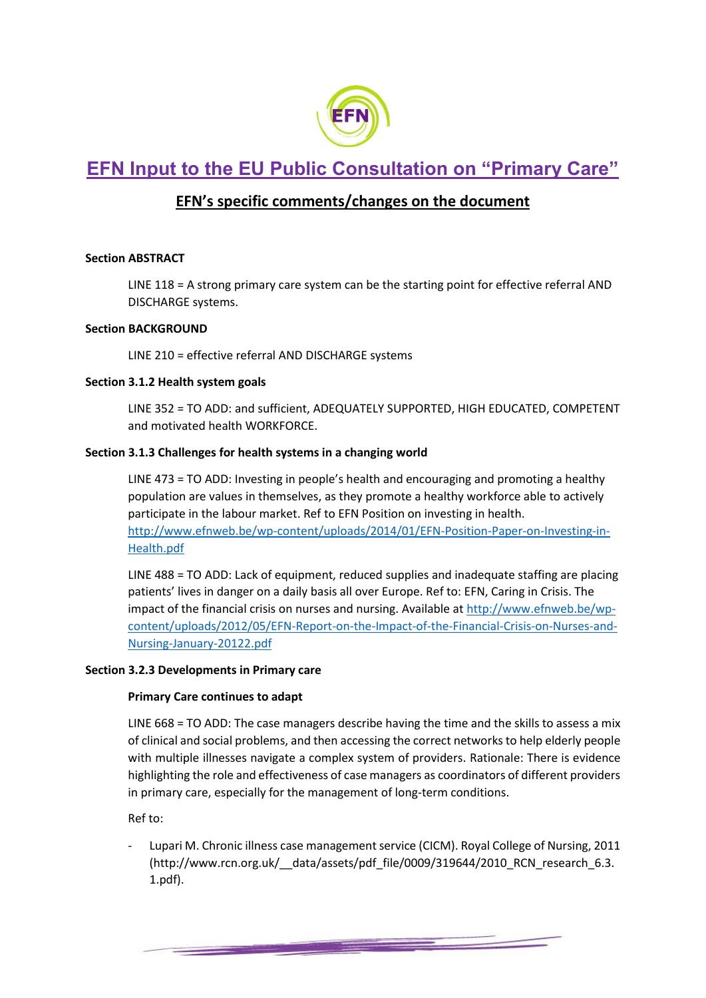

# **EFN Input to the EU Public Consultation on "Primary Care"**

# **EFN's specific comments/changes on the document**

### **Section ABSTRACT**

LINE 118 = A strong primary care system can be the starting point for effective referral AND DISCHARGE systems.

#### **Section BACKGROUND**

LINE 210 = effective referral AND DISCHARGE systems

### **Section 3.1.2 Health system goals**

LINE 352 = TO ADD: and sufficient, ADEQUATELY SUPPORTED, HIGH EDUCATED, COMPETENT and motivated health WORKFORCE.

### **Section 3.1.3 Challenges for health systems in a changing world**

LINE 473 = TO ADD: Investing in people's health and encouraging and promoting a healthy population are values in themselves, as they promote a healthy workforce able to actively participate in the labour market. Ref to EFN Position on investing in health. [http://www.efnweb.be/wp-content/uploads/2014/01/EFN-Position-Paper-on-Investing-in-](http://www.efnweb.be/wp-content/uploads/2014/01/EFN-Position-Paper-on-Investing-in-Health.pdf)[Health.pdf](http://www.efnweb.be/wp-content/uploads/2014/01/EFN-Position-Paper-on-Investing-in-Health.pdf)

LINE 488 = TO ADD: Lack of equipment, reduced supplies and inadequate staffing are placing patients' lives in danger on a daily basis all over Europe. Ref to: EFN, Caring in Crisis. The impact of the financial crisis on nurses and nursing. Available a[t http://www.efnweb.be/wp](http://www.efnweb.be/wp-content/uploads/2012/05/EFN-Report-on-the-Impact-of-the-Financial-Crisis-on-Nurses-and-Nursing-January-20122.pdf)[content/uploads/2012/05/EFN-Report-on-the-Impact-of-the-Financial-Crisis-on-Nurses-and-](http://www.efnweb.be/wp-content/uploads/2012/05/EFN-Report-on-the-Impact-of-the-Financial-Crisis-on-Nurses-and-Nursing-January-20122.pdf)[Nursing-January-20122.pdf](http://www.efnweb.be/wp-content/uploads/2012/05/EFN-Report-on-the-Impact-of-the-Financial-Crisis-on-Nurses-and-Nursing-January-20122.pdf)

#### **Section 3.2.3 Developments in Primary care**

#### **Primary Care continues to adapt**

LINE 668 = TO ADD: The case managers describe having the time and the skills to assess a mix of clinical and social problems, and then accessing the correct networks to help elderly people with multiple illnesses navigate a complex system of providers. Rationale: There is evidence highlighting the role and effectiveness of case managers as coordinators of different providers in primary care, especially for the management of long-term conditions.

Ref to:

Lupari M. Chronic illness case management service (CICM). Royal College of Nursing, 2011 (http://www.rcn.org.uk/\_\_data/assets/pdf\_file/0009/319644/2010\_RCN\_research\_6.3. 1.pdf).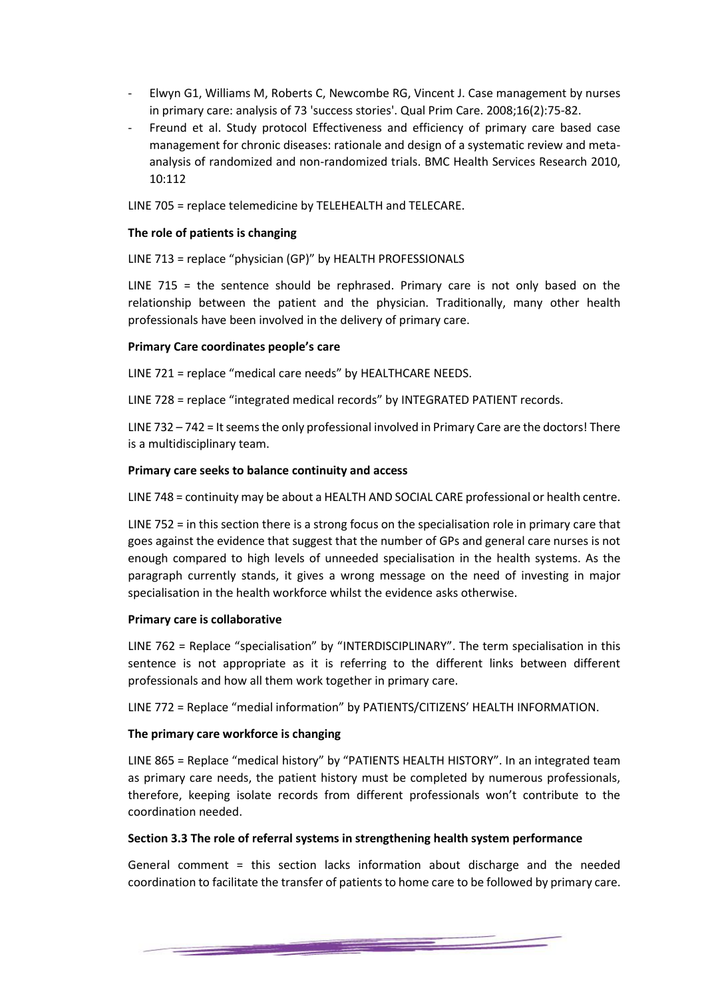- [Elwyn G1](http://www.ncbi.nlm.nih.gov/pubmed?term=Elwyn%20G%5BAuthor%5D&cauthor=true&cauthor_uid=18700083), [Williams M,](http://www.ncbi.nlm.nih.gov/pubmed?term=Williams%20M%5BAuthor%5D&cauthor=true&cauthor_uid=18700083) [Roberts C,](http://www.ncbi.nlm.nih.gov/pubmed?term=Roberts%20C%5BAuthor%5D&cauthor=true&cauthor_uid=18700083) [Newcombe RG,](http://www.ncbi.nlm.nih.gov/pubmed?term=Newcombe%20RG%5BAuthor%5D&cauthor=true&cauthor_uid=18700083) [Vincent J.](http://www.ncbi.nlm.nih.gov/pubmed?term=Vincent%20J%5BAuthor%5D&cauthor=true&cauthor_uid=18700083) Case management by nurses in primary care: analysis of 73 'success stories'[. Qual Prim Care.](http://www.ncbi.nlm.nih.gov/pubmed/18700083) 2008;16(2):75-82.
- Freund et al. Study protocol Effectiveness and efficiency of primary care based case management for chronic diseases: rationale and design of a systematic review and metaanalysis of randomized and non-randomized trials. BMC Health Services Research 2010, 10:112

LINE 705 = replace telemedicine by TELEHEALTH and TELECARE.

#### **The role of patients is changing**

LINE 713 = replace "physician (GP)" by HEALTH PROFESSIONALS

LINE 715 = the sentence should be rephrased. Primary care is not only based on the relationship between the patient and the physician. Traditionally, many other health professionals have been involved in the delivery of primary care.

#### **Primary Care coordinates people's care**

LINE 721 = replace "medical care needs" by HEALTHCARE NEEDS.

LINE 728 = replace "integrated medical records" by INTEGRATED PATIENT records.

LINE 732 – 742 = It seems the only professional involved in Primary Care are the doctors! There is a multidisciplinary team.

#### **Primary care seeks to balance continuity and access**

LINE 748 = continuity may be about a HEALTH AND SOCIAL CARE professional or health centre.

LINE 752 = in this section there is a strong focus on the specialisation role in primary care that goes against the evidence that suggest that the number of GPs and general care nurses is not enough compared to high levels of unneeded specialisation in the health systems. As the paragraph currently stands, it gives a wrong message on the need of investing in major specialisation in the health workforce whilst the evidence asks otherwise.

#### **Primary care is collaborative**

LINE 762 = Replace "specialisation" by "INTERDISCIPLINARY". The term specialisation in this sentence is not appropriate as it is referring to the different links between different professionals and how all them work together in primary care.

LINE 772 = Replace "medial information" by PATIENTS/CITIZENS' HEALTH INFORMATION.

#### **The primary care workforce is changing**

LINE 865 = Replace "medical history" by "PATIENTS HEALTH HISTORY". In an integrated team as primary care needs, the patient history must be completed by numerous professionals, therefore, keeping isolate records from different professionals won't contribute to the coordination needed.

#### **Section 3.3 The role of referral systems in strengthening health system performance**

General comment = this section lacks information about discharge and the needed coordination to facilitate the transfer of patients to home care to be followed by primary care.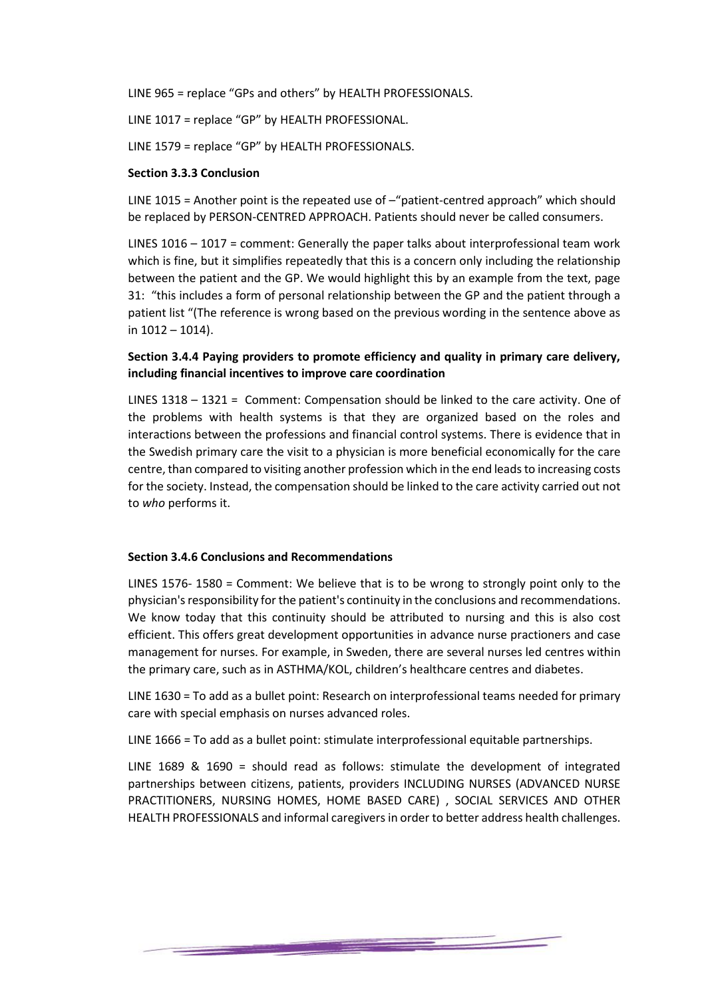LINE 965 = replace "GPs and others" by HEALTH PROFESSIONALS.

LINE 1017 = replace "GP" by HEALTH PROFESSIONAL.

LINE 1579 = replace "GP" by HEALTH PROFESSIONALS.

#### **Section 3.3.3 Conclusion**

LINE 1015 = Another point is the repeated use of –"patient-centred approach" which should be replaced by PERSON-CENTRED APPROACH. Patients should never be called consumers.

LINES 1016 – 1017 = comment: Generally the paper talks about interprofessional team work which is fine, but it simplifies repeatedly that this is a concern only including the relationship between the patient and the GP. We would highlight this by an example from the text, page 31: "this includes a form of personal relationship between the GP and the patient through a patient list "(The reference is wrong based on the previous wording in the sentence above as in 1012 – 1014).

### **Section 3.4.4 Paying providers to promote efficiency and quality in primary care delivery, including financial incentives to improve care coordination**

LINES 1318 – 1321 = Comment: Compensation should be linked to the care activity. One of the problems with health systems is that they are organized based on the roles and interactions between the professions and financial control systems. There is evidence that in the Swedish primary care the visit to a physician is more beneficial economically for the care centre, than compared to visiting another profession which in the end leads to increasing costs for the society. Instead, the compensation should be linked to the care activity carried out not to *who* performs it.

#### **Section 3.4.6 Conclusions and Recommendations**

LINES 1576- 1580 = Comment: We believe that is to be wrong to strongly point only to the physician's responsibility for the patient's continuity in the conclusions and recommendations. We know today that this continuity should be attributed to nursing and this is also cost efficient. This offers great development opportunities in advance nurse practioners and case management for nurses. For example, in Sweden, there are several nurses led centres within the primary care, such as in ASTHMA/KOL, children's healthcare centres and diabetes.

LINE 1630 = To add as a bullet point: Research on interprofessional teams needed for primary care with special emphasis on nurses advanced roles.

LINE 1666 = To add as a bullet point: stimulate interprofessional equitable partnerships.

LINE 1689 & 1690 = should read as follows: stimulate the development of integrated partnerships between citizens, patients, providers INCLUDING NURSES (ADVANCED NURSE PRACTITIONERS, NURSING HOMES, HOME BASED CARE) , SOCIAL SERVICES AND OTHER HEALTH PROFESSIONALS and informal caregivers in order to better address health challenges.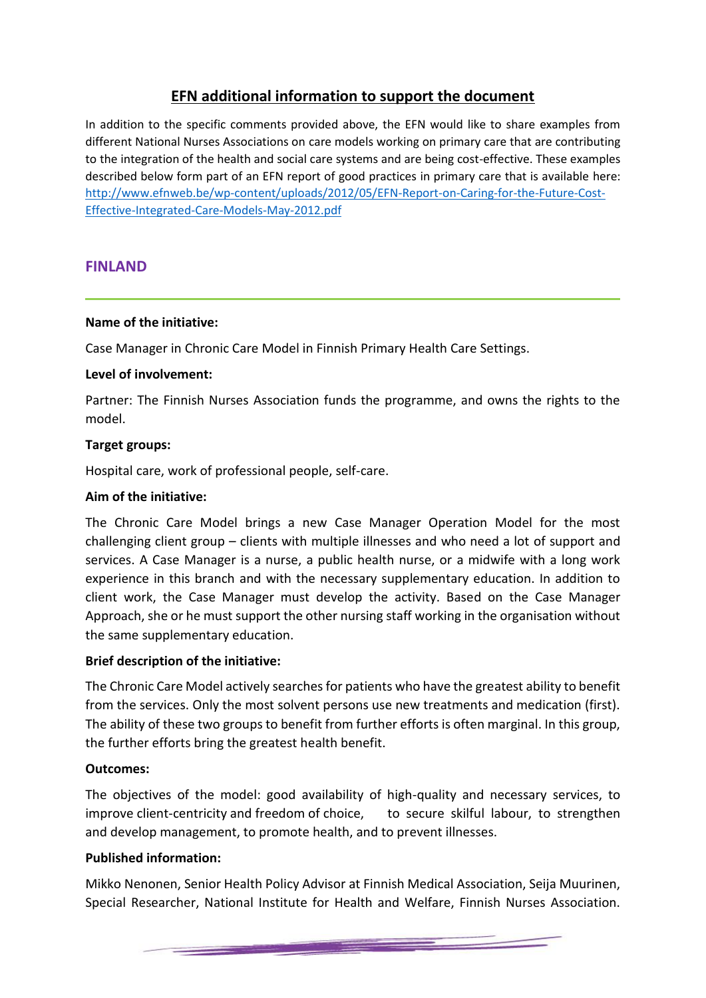# **EFN additional information to support the document**

In addition to the specific comments provided above, the EFN would like to share examples from different National Nurses Associations on care models working on primary care that are contributing to the integration of the health and social care systems and are being cost-effective. These examples described below form part of an EFN report of good practices in primary care that is available here: [http://www.efnweb.be/wp-content/uploads/2012/05/EFN-Report-on-Caring-for-the-Future-Cost-](http://www.efnweb.be/wp-content/uploads/2012/05/EFN-Report-on-Caring-for-the-Future-Cost-Effective-Integrated-Care-Models-May-2012.pdf)[Effective-Integrated-Care-Models-May-2012.pdf](http://www.efnweb.be/wp-content/uploads/2012/05/EFN-Report-on-Caring-for-the-Future-Cost-Effective-Integrated-Care-Models-May-2012.pdf)

# **FINLAND**

### **Name of the initiative:**

Case Manager in Chronic Care Model in Finnish Primary Health Care Settings.

### **Level of involvement:**

Partner: The Finnish Nurses Association funds the programme, and owns the rights to the model.

### **Target groups:**

Hospital care, work of professional people, self-care.

### **Aim of the initiative:**

The Chronic Care Model brings a new Case Manager Operation Model for the most challenging client group – clients with multiple illnesses and who need a lot of support and services. A Case Manager is a nurse, a public health nurse, or a midwife with a long work experience in this branch and with the necessary supplementary education. In addition to client work, the Case Manager must develop the activity. Based on the Case Manager Approach, she or he must support the other nursing staff working in the organisation without the same supplementary education.

### **Brief description of the initiative:**

The Chronic Care Model actively searches for patients who have the greatest ability to benefit from the services. Only the most solvent persons use new treatments and medication (first). The ability of these two groups to benefit from further efforts is often marginal. In this group, the further efforts bring the greatest health benefit.

#### **Outcomes:**

The objectives of the model: good availability of high-quality and necessary services, to improve client-centricity and freedom of choice, to secure skilful labour, to strengthen and develop management, to promote health, and to prevent illnesses.

### **Published information:**

Mikko Nenonen, Senior Health Policy Advisor at Finnish Medical Association, Seija Muurinen, Special Researcher, National Institute for Health and Welfare, Finnish Nurses Association.

<u>an an am bhaile an chuid an chuid an chuid an chuid an chuid an chuid an chuid an chuid an chuid an chuid an c</u>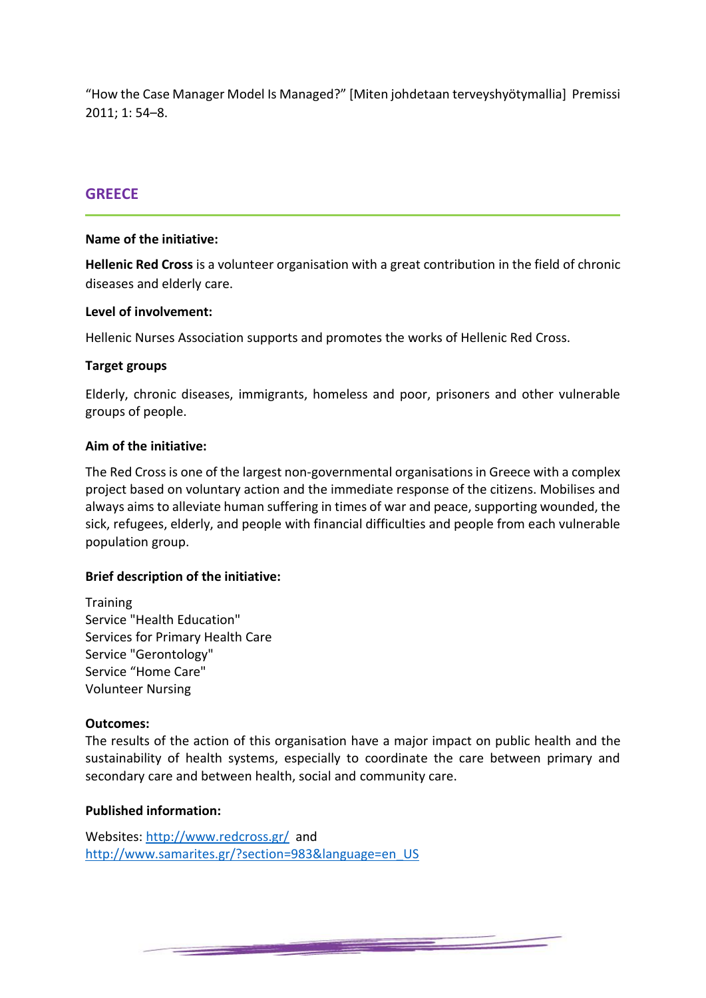"How the Case Manager Model Is Managed?" [Miten johdetaan terveyshyötymallia] Premissi 2011; 1: 54–8.

### **GREECE**

#### **Name of the initiative:**

**Hellenic Red Cross** is a volunteer organisation with a great contribution in the field of chronic diseases and elderly care.

### **Level of involvement:**

Hellenic Nurses Association supports and promotes the works of Hellenic Red Cross.

### **Target groups**

Elderly, chronic diseases, immigrants, homeless and poor, prisoners and other vulnerable groups of people.

### **Aim of the initiative:**

The Red Cross is one of the largest non-governmental organisations in Greece with a complex project based on voluntary action and the immediate response of the citizens. Mobilises and always aims to alleviate human suffering in times of war and peace, supporting wounded, the sick, refugees, elderly, and people with financial difficulties and people from each vulnerable population group.

#### **Brief description of the initiative:**

**Training** Service "Health Education" Services for Primary Health Care Service "Gerontology" Service "Home Care" Volunteer Nursing

#### **Outcomes:**

The results of the action of this organisation have a major impact on public health and the sustainability of health systems, especially to coordinate the care between primary and secondary care and between health, social and community care.

### **Published information:**

Websites:<http://www.redcross.gr/>and [http://www.samarites.gr/?section=983&language=en\\_US](http://www.samarites.gr/?section=983&language=en_US)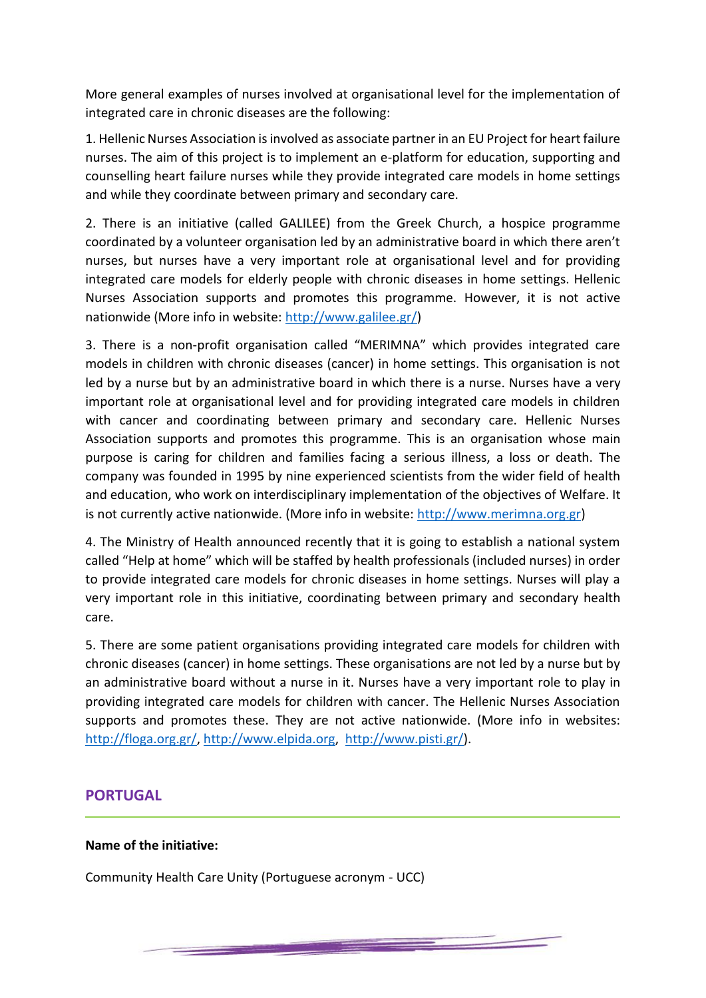More general examples of nurses involved at organisational level for the implementation of integrated care in chronic diseases are the following:

1. Hellenic Nurses Association is involved as associate partner in an EU Project for heart failure nurses. The aim of this project is to implement an e-platform for education, supporting and counselling heart failure nurses while they provide integrated care models in home settings and while they coordinate between primary and secondary care.

2. There is an initiative (called GALILEE) from the Greek Church, a hospice programme coordinated by a volunteer organisation led by an administrative board in which there aren't nurses, but nurses have a very important role at organisational level and for providing integrated care models for elderly people with chronic diseases in home settings. Hellenic Nurses Association supports and promotes this programme. However, it is not active nationwide (More info in website: [http://www.galilee.gr/\)](http://www.galilee.gr/)

3. There is a non-profit organisation called "MERIMNA" which provides integrated care models in children with chronic diseases (cancer) in home settings. This organisation is not led by a nurse but by an administrative board in which there is a nurse. Nurses have a very important role at organisational level and for providing integrated care models in children with cancer and coordinating between primary and secondary care. Hellenic Nurses Association supports and promotes this programme. This is an organisation whose main purpose is caring for children and families facing a serious illness, a loss or death. The company was founded in 1995 by nine experienced scientists from the wider field of health and education, who work on interdisciplinary implementation of the objectives of Welfare. It is not currently active nationwide. (More info in website: [http://www.merimna.org.gr\)](http://www.merimna.org.gr/)

4. The Ministry of Health announced recently that it is going to establish a national system called "Help at home" which will be staffed by health professionals (included nurses) in order to provide integrated care models for chronic diseases in home settings. Nurses will play a very important role in this initiative, coordinating between primary and secondary health care.

5. There are some patient organisations providing integrated care models for children with chronic diseases (cancer) in home settings. These organisations are not led by a nurse but by an administrative board without a nurse in it. Nurses have a very important role to play in providing integrated care models for children with cancer. The Hellenic Nurses Association supports and promotes these. They are not active nationwide. (More info in websites: [http://floga.org.gr/,](http://floga.org.gr/) [http://www.elpida.org,](http://www.elpida.org/) [http://www.pisti.gr/\)](http://www.pisti.gr/).

<u> Desembar 1999 - Samuel Ba</u>

# **PORTUGAL**

# **Name of the initiative:**

Community Health Care Unity (Portuguese acronym - UCC)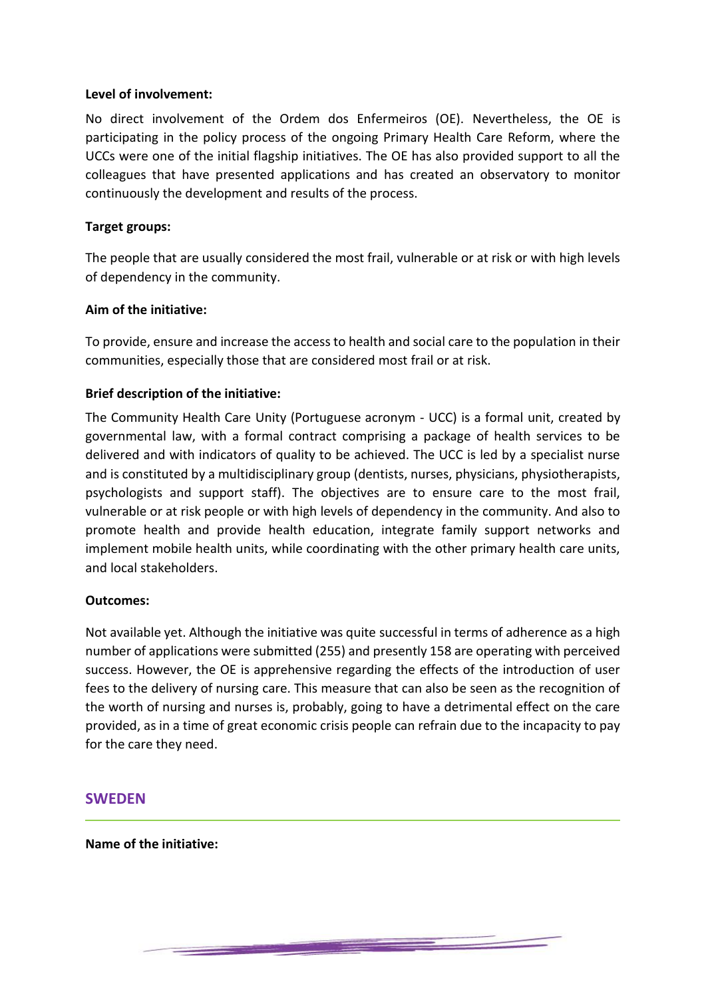### **Level of involvement:**

No direct involvement of the Ordem dos Enfermeiros (OE). Nevertheless, the OE is participating in the policy process of the ongoing Primary Health Care Reform, where the UCCs were one of the initial flagship initiatives. The OE has also provided support to all the colleagues that have presented applications and has created an observatory to monitor continuously the development and results of the process.

### **Target groups:**

The people that are usually considered the most frail, vulnerable or at risk or with high levels of dependency in the community.

### **Aim of the initiative:**

To provide, ensure and increase the access to health and social care to the population in their communities, especially those that are considered most frail or at risk.

### **Brief description of the initiative:**

The Community Health Care Unity (Portuguese acronym - UCC) is a formal unit, created by governmental law, with a formal contract comprising a package of health services to be delivered and with indicators of quality to be achieved. The UCC is led by a specialist nurse and is constituted by a multidisciplinary group (dentists, nurses, physicians, physiotherapists, psychologists and support staff). The objectives are to ensure care to the most frail, vulnerable or at risk people or with high levels of dependency in the community. And also to promote health and provide health education, integrate family support networks and implement mobile health units, while coordinating with the other primary health care units, and local stakeholders.

#### **Outcomes:**

Not available yet. Although the initiative was quite successful in terms of adherence as a high number of applications were submitted (255) and presently 158 are operating with perceived success. However, the OE is apprehensive regarding the effects of the introduction of user fees to the delivery of nursing care. This measure that can also be seen as the recognition of the worth of nursing and nurses is, probably, going to have a detrimental effect on the care provided, as in a time of great economic crisis people can refrain due to the incapacity to pay for the care they need.

<u> De Santo de Caractería (n. 1878)</u>

### **SWEDEN**

**Name of the initiative:**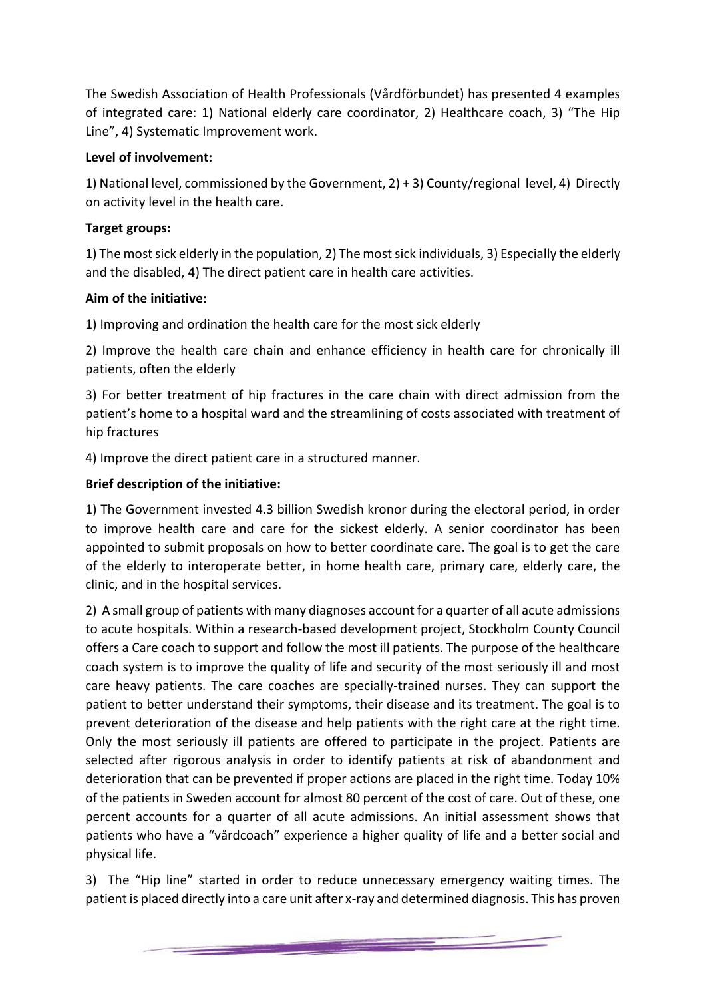The Swedish Association of Health Professionals (Vårdförbundet) has presented 4 examples of integrated care: 1) National elderly care coordinator, 2) Healthcare coach, 3) "The Hip Line", 4) Systematic Improvement work.

# **Level of involvement:**

1) National level, commissioned by the Government, 2) + 3) County/regional level, 4) Directly on activity level in the health care.

# **Target groups:**

1) The most sick elderly in the population, 2) The most sick individuals, 3) Especially the elderly and the disabled, 4) The direct patient care in health care activities.

# **Aim of the initiative:**

1) Improving and ordination the health care for the most sick elderly

2) Improve the health care chain and enhance efficiency in health care for chronically ill patients, often the elderly

3) For better treatment of hip fractures in the care chain with direct admission from the patient's home to a hospital ward and the streamlining of costs associated with treatment of hip fractures

4) Improve the direct patient care in a structured manner.

# **Brief description of the initiative:**

1) The Government invested 4.3 billion Swedish kronor during the electoral period, in order to improve health care and care for the sickest elderly. A senior coordinator has been appointed to submit proposals on how to better coordinate care. The goal is to get the care of the elderly to interoperate better, in home health care, primary care, elderly care, the clinic, and in the hospital services.

2) A small group of patients with many diagnoses account for a quarter of all acute admissions to acute hospitals. Within a research-based development project, Stockholm County Council offers a Care coach to support and follow the most ill patients. The purpose of the healthcare coach system is to improve the quality of life and security of the most seriously ill and most care heavy patients. The care coaches are specially-trained nurses. They can support the patient to better understand their symptoms, their disease and its treatment. The goal is to prevent deterioration of the disease and help patients with the right care at the right time. Only the most seriously ill patients are offered to participate in the project. Patients are selected after rigorous analysis in order to identify patients at risk of abandonment and deterioration that can be prevented if proper actions are placed in the right time. Today 10% of the patients in Sweden account for almost 80 percent of the cost of care. Out of these, one percent accounts for a quarter of all acute admissions. An initial assessment shows that patients who have a "vårdcoach" experience a higher quality of life and a better social and physical life.

3) The "Hip line" started in order to reduce unnecessary emergency waiting times. The patient is placed directly into a care unit after x-ray and determined diagnosis. This has proven